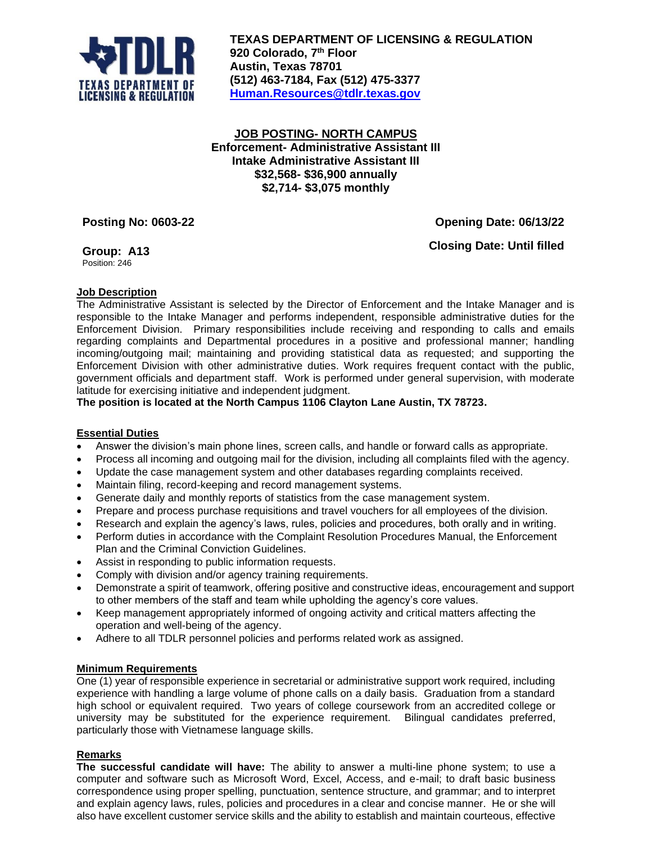

**TEXAS DEPARTMENT OF LICENSING & REGULATION 920 Colorado, 7 th Floor Austin, Texas 78701 (512) 463-7184, Fax (512) 475-3377 [Human.Resources@tdlr.texas.gov](mailto:Human.Resources@tdlr.texas.gov)**

**JOB POSTING- NORTH CAMPUS Enforcement- Administrative Assistant III Intake Administrative Assistant III \$32,568- \$36,900 annually \$2,714- \$3,075 monthly**

**Posting No: 0603-22 Opening Date: 06/13/22**

**Group: A13** Position: 246

**Closing Date: Until filled**

# **Job Description**

The Administrative Assistant is selected by the Director of Enforcement and the Intake Manager and is responsible to the Intake Manager and performs independent, responsible administrative duties for the Enforcement Division. Primary responsibilities include receiving and responding to calls and emails regarding complaints and Departmental procedures in a positive and professional manner; handling incoming/outgoing mail; maintaining and providing statistical data as requested; and supporting the Enforcement Division with other administrative duties. Work requires frequent contact with the public, government officials and department staff. Work is performed under general supervision, with moderate latitude for exercising initiative and independent judgment.

**The position is located at the North Campus 1106 Clayton Lane Austin, TX 78723.**

## **Essential Duties**

- Answer the division's main phone lines, screen calls, and handle or forward calls as appropriate.
- Process all incoming and outgoing mail for the division, including all complaints filed with the agency.
- Update the case management system and other databases regarding complaints received.
- Maintain filing, record-keeping and record management systems.
- Generate daily and monthly reports of statistics from the case management system.
- Prepare and process purchase requisitions and travel vouchers for all employees of the division.
- Research and explain the agency's laws, rules, policies and procedures, both orally and in writing.
- Perform duties in accordance with the Complaint Resolution Procedures Manual, the Enforcement Plan and the Criminal Conviction Guidelines.
- Assist in responding to public information requests.
- Comply with division and/or agency training requirements.
- Demonstrate a spirit of teamwork, offering positive and constructive ideas, encouragement and support to other members of the staff and team while upholding the agency's core values.
- Keep management appropriately informed of ongoing activity and critical matters affecting the operation and well-being of the agency.
- Adhere to all TDLR personnel policies and performs related work as assigned.

## **Minimum Requirements**

One (1) year of responsible experience in secretarial or administrative support work required, including experience with handling a large volume of phone calls on a daily basis. Graduation from a standard high school or equivalent required. Two years of college coursework from an accredited college or university may be substituted for the experience requirement. Bilingual candidates preferred, particularly those with Vietnamese language skills.

## **Remarks**

**The successful candidate will have:** The ability to answer a multi-line phone system; to use a computer and software such as Microsoft Word, Excel, Access, and e-mail; to draft basic business correspondence using proper spelling, punctuation, sentence structure, and grammar; and to interpret and explain agency laws, rules, policies and procedures in a clear and concise manner. He or she will also have excellent customer service skills and the ability to establish and maintain courteous, effective